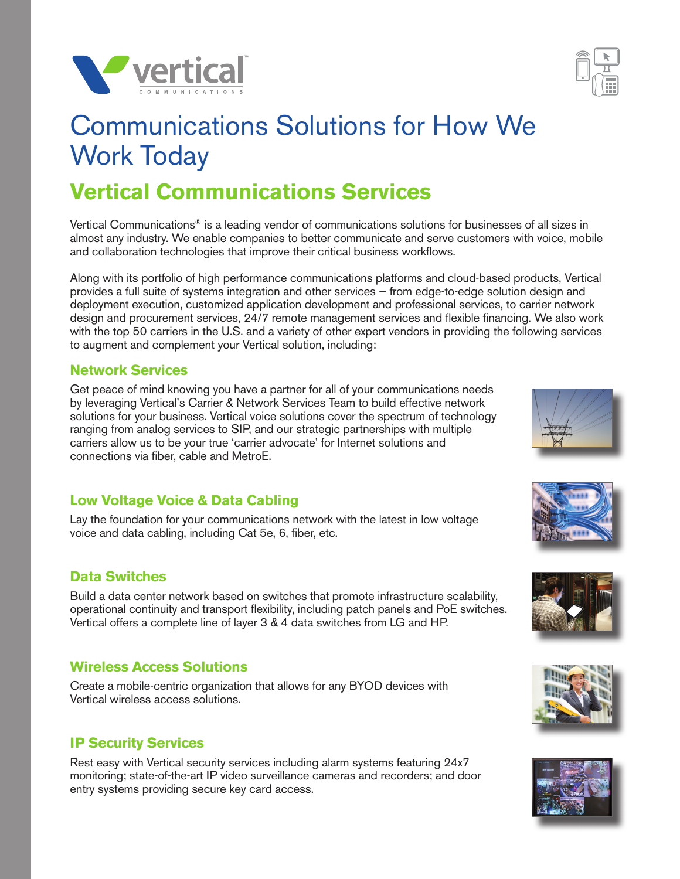



# Communications Solutions for How We Work Today

## **Vertical Communications Services**

Vertical Communications® is a leading vendor of communications solutions for businesses of all sizes in almost any industry. We enable companies to better communicate and serve customers with voice, mobile and collaboration technologies that improve their critical business workflows.

Along with its portfolio of high performance communications platforms and cloud-based products, Vertical provides a full suite of systems integration and other services — from edge-to-edge solution design and deployment execution, customized application development and professional services, to carrier network design and procurement services, 24/7 remote management services and flexible financing. We also work with the top 50 carriers in the U.S. and a variety of other expert vendors in providing the following services to augment and complement your Vertical solution, including:

#### **Network Services**

Get peace of mind knowing you have a partner for all of your communications needs by leveraging Vertical's Carrier & Network Services Team to build effective network solutions for your business. Vertical voice solutions cover the spectrum of technology ranging from analog services to SIP, and our strategic partnerships with multiple carriers allow us to be your true 'carrier advocate' for Internet solutions and connections via fiber, cable and MetroE.

#### **Low Voltage Voice & Data Cabling**

Lay the foundation for your communications network with the latest in low voltage voice and data cabling, including Cat 5e, 6, fiber, etc.

### **Data Switches**

Build a data center network based on switches that promote infrastructure scalability, operational continuity and transport flexibility, including patch panels and PoE switches. Vertical offers a complete line of layer 3 & 4 data switches from LG and HP.

### **Wireless Access Solutions**

Create a mobile-centric organization that allows for any BYOD devices with Vertical wireless access solutions.

#### **IP Security Services**

Rest easy with Vertical security services including alarm systems featuring 24x7 monitoring; state-of-the-art IP video surveillance cameras and recorders; and door entry systems providing secure key card access.